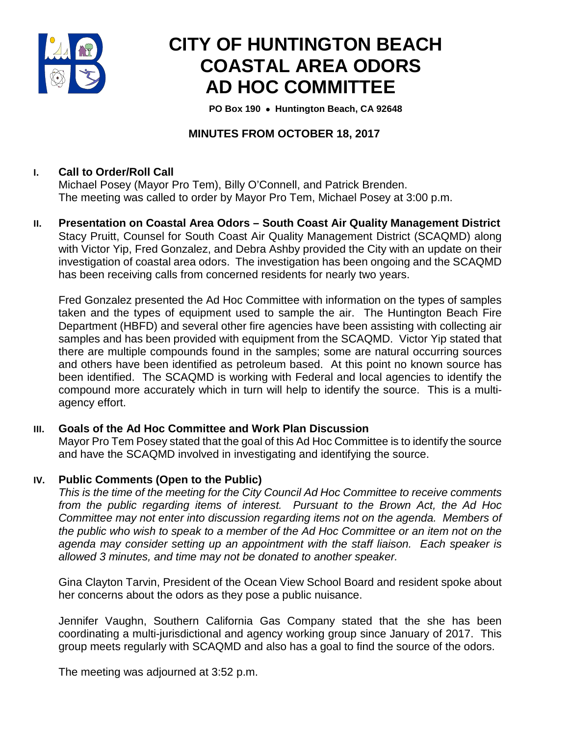

# **CITY OF HUNTINGTON BEACH COASTAL AREA ODORS AD HOC COMMITTEE**

 **PO Box 190** • **Huntington Beach, CA 92648**

# **MINUTES FROM OCTOBER 18, 2017**

# **I. Call to Order/Roll Call**

Michael Posey (Mayor Pro Tem), Billy O'Connell, and Patrick Brenden. The meeting was called to order by Mayor Pro Tem, Michael Posey at 3:00 p.m.

**II. Presentation on Coastal Area Odors – South Coast Air Quality Management District** Stacy Pruitt, Counsel for South Coast Air Quality Management District (SCAQMD) along with Victor Yip, Fred Gonzalez, and Debra Ashby provided the City with an update on their investigation of coastal area odors. The investigation has been ongoing and the SCAQMD has been receiving calls from concerned residents for nearly two years.

Fred Gonzalez presented the Ad Hoc Committee with information on the types of samples taken and the types of equipment used to sample the air. The Huntington Beach Fire Department (HBFD) and several other fire agencies have been assisting with collecting air samples and has been provided with equipment from the SCAQMD. Victor Yip stated that there are multiple compounds found in the samples; some are natural occurring sources and others have been identified as petroleum based. At this point no known source has been identified. The SCAQMD is working with Federal and local agencies to identify the compound more accurately which in turn will help to identify the source. This is a multiagency effort.

# **III. Goals of the Ad Hoc Committee and Work Plan Discussion**

Mayor Pro Tem Posey stated that the goal of this Ad Hoc Committee is to identify the source and have the SCAQMD involved in investigating and identifying the source.

# **IV. Public Comments (Open to the Public)**

*This is the time of the meeting for the City Council Ad Hoc Committee to receive comments from the public regarding items of interest. Pursuant to the Brown Act, the Ad Hoc Committee may not enter into discussion regarding items not on the agenda. Members of the public who wish to speak to a member of the Ad Hoc Committee or an item not on the agenda may consider setting up an appointment with the staff liaison. Each speaker is allowed 3 minutes, and time may not be donated to another speaker.*

Gina Clayton Tarvin, President of the Ocean View School Board and resident spoke about her concerns about the odors as they pose a public nuisance.

Jennifer Vaughn, Southern California Gas Company stated that the she has been coordinating a multi-jurisdictional and agency working group since January of 2017. This group meets regularly with SCAQMD and also has a goal to find the source of the odors.

The meeting was adjourned at 3:52 p.m.